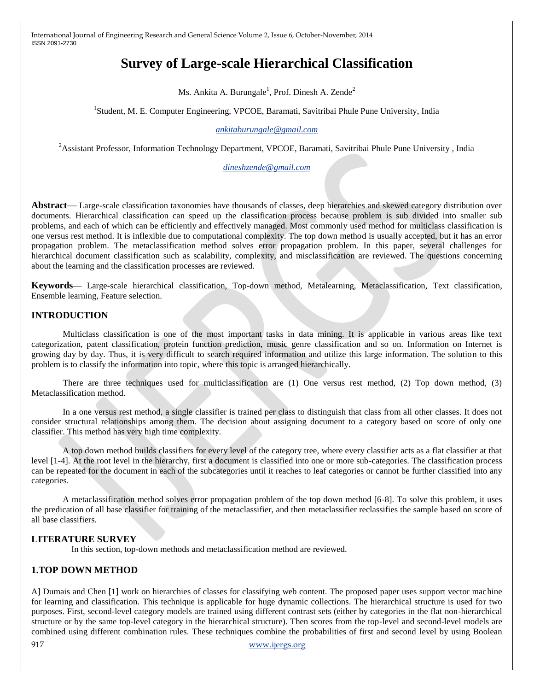# **Survey of Large-scale Hierarchical Classification**

Ms. Ankita A. Burungale<sup>1</sup>, Prof. Dinesh A. Zende<sup>2</sup>

<sup>1</sup>Student, M. E. Computer Engineering, VPCOE, Baramati, Savitribai Phule Pune University, India

*ankitaburungale@gmail.com*

<sup>2</sup>Assistant Professor, Information Technology Department, VPCOE, Baramati, Savitribai Phule Pune University, India

*[dineshzende@gmail.com](mailto:dineshzende@gmail.com)*

**Abstract**— Large-scale classification taxonomies have thousands of classes, deep hierarchies and skewed category distribution over documents. Hierarchical classification can speed up the classification process because problem is sub divided into smaller sub problems, and each of which can be efficiently and effectively managed. Most commonly used method for multiclass classification is one versus rest method. It is inflexible due to computational complexity. The top down method is usually accepted, but it has an error propagation problem. The metaclassification method solves error propagation problem. In this paper, several challenges for hierarchical document classification such as scalability, complexity, and misclassification are reviewed. The questions concerning about the learning and the classification processes are reviewed.

**Keywords**— Large-scale hierarchical classification, Top-down method, Metalearning, Metaclassification, Text classification, Ensemble learning, Feature selection.

# **INTRODUCTION**

Multiclass classification is one of the most important tasks in data mining. It is applicable in various areas like text categorization, patent classification, protein function prediction, music genre classification and so on. Information on Internet is growing day by day. Thus, it is very difficult to search required information and utilize this large information. The solution to this problem is to classify the information into topic, where this topic is arranged hierarchically.

There are three techniques used for multiclassification are (1) One versus rest method, (2) Top down method, (3) Metaclassification method.

In a one versus rest method, a single classifier is trained per class to distinguish that class from all other classes. It does not consider structural relationships among them. The decision about assigning document to a category based on score of only one classifier. This method has very high time complexity.

A top down method builds classifiers for every level of the category tree, where every classifier acts as a flat classifier at that level [1-4]. At the root level in the hierarchy, first a document is classified into one or more sub-categories. The classification process can be repeated for the document in each of the subcategories until it reaches to leaf categories or cannot be further classified into any categories.

A metaclassification method solves error propagation problem of the top down method [6-8]. To solve this problem, it uses the predication of all base classifier for training of the metaclassifier, and then metaclassifier reclassifies the sample based on score of all base classifiers.

# **LITERATURE SURVEY**

In this section, top-down methods and metaclassification method are reviewed.

# **1.TOP DOWN METHOD**

917 www.ijergs.org A] Dumais and Chen [1] work on hierarchies of classes for classifying web content. The proposed paper uses support vector machine for learning and classification. This technique is applicable for huge dynamic collections. The hierarchical structure is used for two purposes. First, second-level category models are trained using different contrast sets (either by categories in the flat non-hierarchical structure or by the same top-level category in the hierarchical structure). Then scores from the top-level and second-level models are combined using different combination rules. These techniques combine the probabilities of first and second level by using Boolean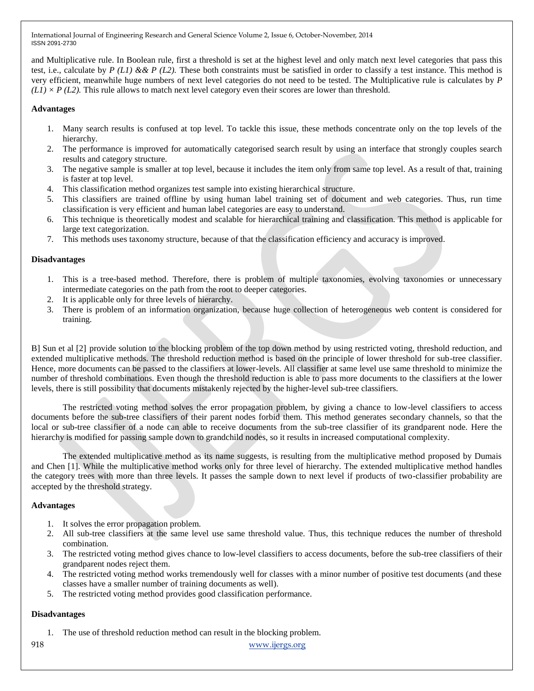and Multiplicative rule. In Boolean rule, first a threshold is set at the highest level and only match next level categories that pass this test, i.e., calculate by *P (L1) & & P (L2)*. These both constraints must be satisfied in order to classify a test instance. This method is very efficient, meanwhile huge numbers of next level categories do not need to be tested. The Multiplicative rule is calculates by *P*  $(L1) \times P$  (L2). This rule allows to match next level category even their scores are lower than threshold.

# **Advantages**

- 1. Many search results is confused at top level. To tackle this issue, these methods concentrate only on the top levels of the hierarchy.
- 2. The performance is improved for automatically categorised search result by using an interface that strongly couples search results and category structure.
- 3. The negative sample is smaller at top level, because it includes the item only from same top level. As a result of that, training is faster at top level.
- 4. This classification method organizes test sample into existing hierarchical structure.
- 5. This classifiers are trained offline by using human label training set of document and web categories. Thus, run time classification is very efficient and human label categories are easy to understand.
- 6. This technique is theoretically modest and scalable for hierarchical training and classification. This method is applicable for large text categorization.
- 7. This methods uses taxonomy structure, because of that the classification efficiency and accuracy is improved.

#### **Disadvantages**

- 1. This is a tree-based method. Therefore, there is problem of multiple taxonomies, evolving taxonomies or unnecessary intermediate categories on the path from the root to deeper categories.
- 2. It is applicable only for three levels of hierarchy.
- 3. There is problem of an information organization, because huge collection of heterogeneous web content is considered for training.

B] Sun et al [2] provide solution to the blocking problem of the top down method by using restricted voting, threshold reduction, and extended multiplicative methods. The threshold reduction method is based on the principle of lower threshold for sub-tree classifier. Hence, more documents can be passed to the classifiers at lower-levels. All classifier at same level use same threshold to minimize the number of threshold combinations. Even though the threshold reduction is able to pass more documents to the classifiers at the lower levels, there is still possibility that documents mistakenly rejected by the higher-level sub-tree classifiers.

The restricted voting method solves the error propagation problem, by giving a chance to low-level classifiers to access documents before the sub-tree classifiers of their parent nodes forbid them. This method generates secondary channels, so that the local or sub-tree classifier of a node can able to receive documents from the sub-tree classifier of its grandparent node. Here the hierarchy is modified for passing sample down to grandchild nodes, so it results in increased computational complexity.

The extended multiplicative method as its name suggests, is resulting from the multiplicative method proposed by Dumais and Chen [1]. While the multiplicative method works only for three level of hierarchy. The extended multiplicative method handles the category trees with more than three levels. It passes the sample down to next level if products of two-classifier probability are accepted by the threshold strategy.

#### **Advantages**

- 1. It solves the error propagation problem.
- 2. All sub-tree classifiers at the same level use same threshold value. Thus, this technique reduces the number of threshold combination.
- 3. The restricted voting method gives chance to low-level classifiers to access documents, before the sub-tree classifiers of their grandparent nodes reject them.
- 4. The restricted voting method works tremendously well for classes with a minor number of positive test documents (and these classes have a smaller number of training documents as well).
- 5. The restricted voting method provides good classification performance.

# **Disadvantages**

1. The use of threshold reduction method can result in the blocking problem.

918 www.ijergs.org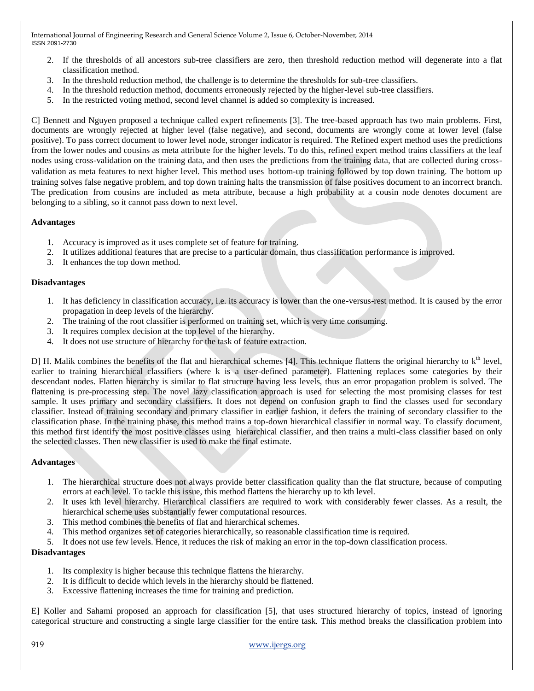- 2. If the thresholds of all ancestors sub-tree classifiers are zero, then threshold reduction method will degenerate into a flat classification method.
- 3. In the threshold reduction method, the challenge is to determine the thresholds for sub-tree classifiers.
- 4. In the threshold reduction method, documents erroneously rejected by the higher-level sub-tree classifiers.
- 5. In the restricted voting method, second level channel is added so complexity is increased.

C] Bennett and Nguyen proposed a technique called expert refinements [3]. The tree-based approach has two main problems. First, documents are wrongly rejected at higher level (false negative), and second, documents are wrongly come at lower level (false positive). To pass correct document to lower level node, stronger indicator is required. The Refined expert method uses the predictions from the lower nodes and cousins as meta attribute for the higher levels. To do this, refined expert method trains classifiers at the leaf nodes using cross-validation on the training data, and then uses the predictions from the training data, that are collected during crossvalidation as meta features to next higher level. This method uses bottom-up training followed by top down training. The bottom up training solves false negative problem, and top down training halts the transmission of false positives document to an incorrect branch. The predication from cousins are included as meta attribute, because a high probability at a cousin node denotes document are belonging to a sibling, so it cannot pass down to next level.

#### **Advantages**

- 1. Accuracy is improved as it uses complete set of feature for training.
- 2. It utilizes additional features that are precise to a particular domain, thus classification performance is improved.
- 3. It enhances the top down method.

#### **Disadvantages**

- 1. It has deficiency in classification accuracy, i.e. its accuracy is lower than the one-versus-rest method. It is caused by the error propagation in deep levels of the hierarchy.
- 2. The training of the root classifier is performed on training set, which is very time consuming.
- 3. It requires complex decision at the top level of the hierarchy.
- 4. It does not use structure of hierarchy for the task of feature extraction.

D] H. Malik combines the benefits of the flat and hierarchical schemes [4]. This technique flattens the original hierarchy to  $k<sup>th</sup>$  level, earlier to training hierarchical classifiers (where k is a user-defined parameter). Flattening replaces some categories by their descendant nodes. Flatten hierarchy is similar to flat structure having less levels, thus an error propagation problem is solved. The flattening is pre-processing step. The novel lazy classification approach is used for selecting the most promising classes for test sample. It uses primary and secondary classifiers. It does not depend on confusion graph to find the classes used for secondary classifier. Instead of training secondary and primary classifier in earlier fashion, it defers the training of secondary classifier to the classification phase. In the training phase, this method trains a top-down hierarchical classifier in normal way. To classify document, this method first identify the most positive classes using hierarchical classifier, and then trains a multi-class classifier based on only the selected classes. Then new classifier is used to make the final estimate.

#### **Advantages**

- 1. The hierarchical structure does not always provide better classification quality than the flat structure, because of computing errors at each level. To tackle this issue, this method flattens the hierarchy up to kth level.
- 2. It uses kth level hierarchy. Hierarchical classifiers are required to work with considerably fewer classes. As a result, the hierarchical scheme uses substantially fewer computational resources.
- 3. This method combines the benefits of flat and hierarchical schemes.
- 4. This method organizes set of categories hierarchically, so reasonable classification time is required.
- 5. It does not use few levels. Hence, it reduces the risk of making an error in the top-down classification process.

# **Disadvantages**

- 1. Its complexity is higher because this technique flattens the hierarchy.
- 2. It is difficult to decide which levels in the hierarchy should be flattened.
- 3. Excessive flattening increases the time for training and prediction.

E] Koller and Sahami proposed an approach for classification [5], that uses structured hierarchy of topics, instead of ignoring categorical structure and constructing a single large classifier for the entire task. This method breaks the classification problem into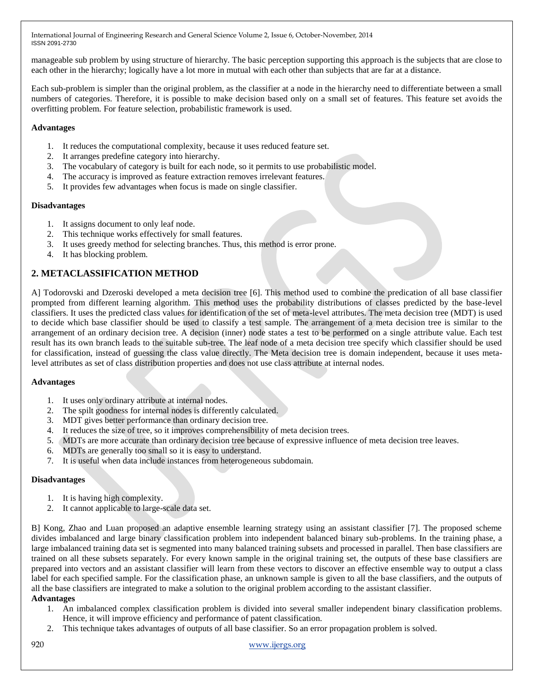manageable sub problem by using structure of hierarchy. The basic perception supporting this approach is the subjects that are close to each other in the hierarchy; logically have a lot more in mutual with each other than subjects that are far at a distance.

Each sub-problem is simpler than the original problem, as the classifier at a node in the hierarchy need to differentiate between a small numbers of categories. Therefore, it is possible to make decision based only on a small set of features. This feature set avoids the overfitting problem. For feature selection, probabilistic framework is used.

# **Advantages**

- 1. It reduces the computational complexity, because it uses reduced feature set.
- 2. It arranges predefine category into hierarchy.
- 3. The vocabulary of category is built for each node, so it permits to use probabilistic model.
- 4. The accuracy is improved as feature extraction removes irrelevant features.
- 5. It provides few advantages when focus is made on single classifier.

# **Disadvantages**

- 1. It assigns document to only leaf node.
- 2. This technique works effectively for small features.
- 3. It uses greedy method for selecting branches. Thus, this method is error prone.
- 4. It has blocking problem.

# **2. METACLASSIFICATION METHOD**

A] Todorovski and Dzeroski developed a meta decision tree [6]. This method used to combine the predication of all base classifier prompted from different learning algorithm. This method uses the probability distributions of classes predicted by the base-level classifiers. It uses the predicted class values for identification of the set of meta-level attributes. The meta decision tree (MDT) is used to decide which base classifier should be used to classify a test sample. The arrangement of a meta decision tree is similar to the arrangement of an ordinary decision tree. A decision (inner) node states a test to be performed on a single attribute value. Each test result has its own branch leads to the suitable sub-tree. The leaf node of a meta decision tree specify which classifier should be used for classification, instead of guessing the class value directly. The Meta decision tree is domain independent, because it uses metalevel attributes as set of class distribution properties and does not use class attribute at internal nodes.

# **Advantages**

- 1. It uses only ordinary attribute at internal nodes.
- 2. The spilt goodness for internal nodes is differently calculated.
- 3. MDT gives better performance than ordinary decision tree.
- 4. It reduces the size of tree, so it improves comprehensibility of meta decision trees.
- 5. MDTs are more accurate than ordinary decision tree because of expressive influence of meta decision tree leaves.
- 6. MDTs are generally too small so it is easy to understand.
- 7. It is useful when data include instances from heterogeneous subdomain.

# **Disadvantages**

- 1. It is having high complexity.
- 2. It cannot applicable to large-scale data set.

B] Kong, Zhao and Luan proposed an adaptive ensemble learning strategy using an assistant classifier [7]. The proposed scheme divides imbalanced and large binary classification problem into independent balanced binary sub-problems. In the training phase, a large imbalanced training data set is segmented into many balanced training subsets and processed in parallel. Then base classifiers are trained on all these subsets separately. For every known sample in the original training set, the outputs of these base classifiers are prepared into vectors and an assistant classifier will learn from these vectors to discover an effective ensemble way to output a class label for each specified sample. For the classification phase, an unknown sample is given to all the base classifiers, and the outputs of all the base classifiers are integrated to make a solution to the original problem according to the assistant classifier. **Advantages**

- 1. An imbalanced complex classification problem is divided into several smaller independent binary classification problems. Hence, it will improve efficiency and performance of patent classification.
- 2. This technique takes advantages of outputs of all base classifier. So an error propagation problem is solved.